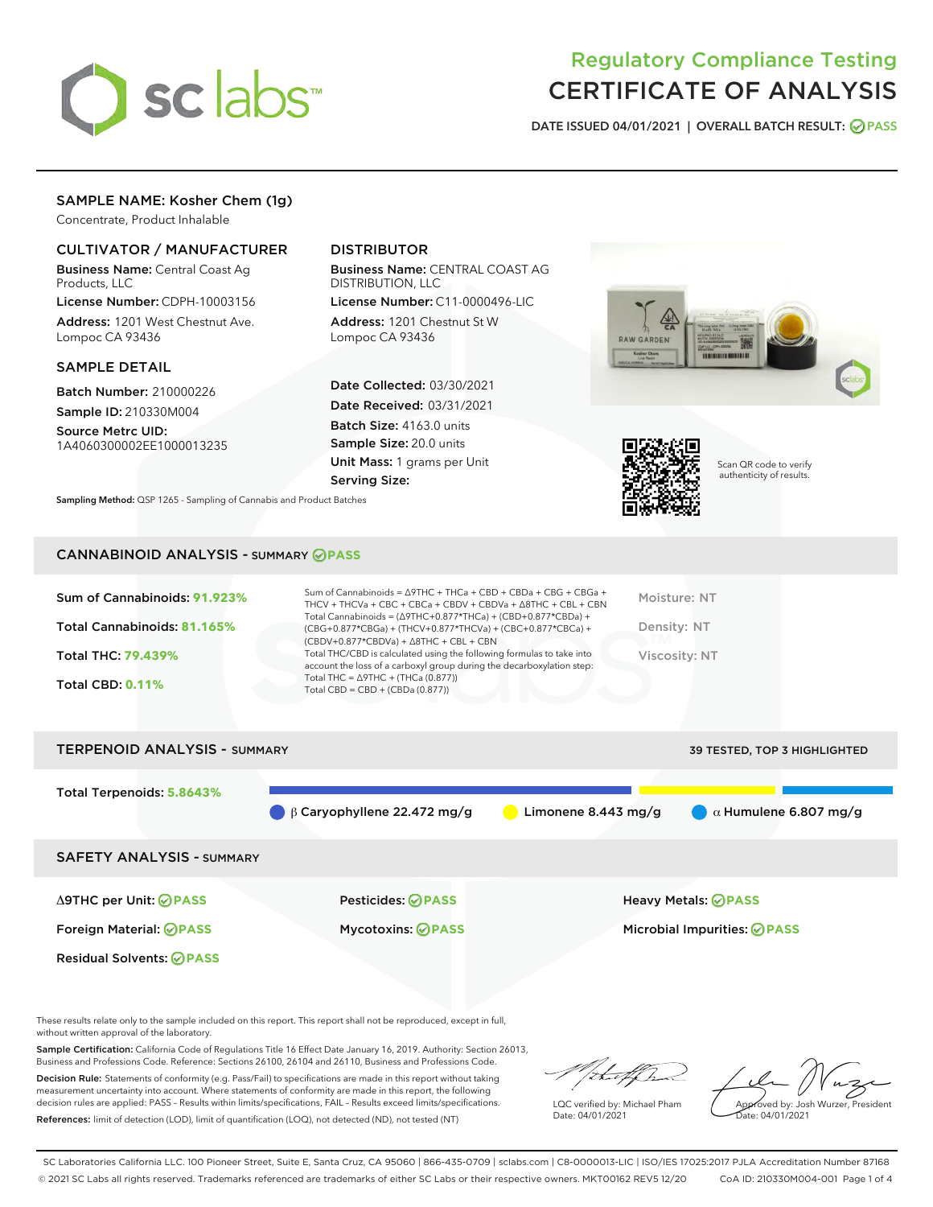

# Regulatory Compliance Testing CERTIFICATE OF ANALYSIS

DATE ISSUED 04/01/2021 | OVERALL BATCH RESULT: @ PASS

# SAMPLE NAME: Kosher Chem (1g)

Concentrate, Product Inhalable

## CULTIVATOR / MANUFACTURER

Business Name: Central Coast Ag Products, LLC

License Number: CDPH-10003156 Address: 1201 West Chestnut Ave. Lompoc CA 93436

## SAMPLE DETAIL

Batch Number: 210000226 Sample ID: 210330M004

Source Metrc UID: 1A4060300002EE1000013235

## DISTRIBUTOR

Business Name: CENTRAL COAST AG DISTRIBUTION, LLC

License Number: C11-0000496-LIC Address: 1201 Chestnut St W Lompoc CA 93436

Date Collected: 03/30/2021 Date Received: 03/31/2021 Batch Size: 4163.0 units Sample Size: 20.0 units Unit Mass: 1 grams per Unit Serving Size:





Scan QR code to verify authenticity of results.

Sampling Method: QSP 1265 - Sampling of Cannabis and Product Batches

## CANNABINOID ANALYSIS - SUMMARY **PASS**

| Sum of Cannabinoids: 91.923%<br>Total Cannabinoids: 81.165%<br>Total THC: 79.439%<br><b>Total CBD: 0.11%</b> | Sum of Cannabinoids = $\triangle$ 9THC + THCa + CBD + CBDa + CBG + CBGa +<br>THCV + THCVa + CBC + CBCa + CBDV + CBDVa + $\land$ 8THC + CBL + CBN<br>Total Cannabinoids = $(\Delta$ 9THC+0.877*THCa) + (CBD+0.877*CBDa) +<br>(CBG+0.877*CBGa) + (THCV+0.877*THCVa) + (CBC+0.877*CBCa) +<br>$(CBDV+0.877*CBDVa) + \Delta 8THC + CBL + CBN$<br>Total THC/CBD is calculated using the following formulas to take into<br>account the loss of a carboxyl group during the decarboxylation step:<br>Total THC = $\triangle$ 9THC + (THCa (0.877))<br>Total CBD = $CBD + (CBDa (0.877))$ | Moisture: NT<br>Density: NT<br>Viscosity: NT |
|--------------------------------------------------------------------------------------------------------------|-----------------------------------------------------------------------------------------------------------------------------------------------------------------------------------------------------------------------------------------------------------------------------------------------------------------------------------------------------------------------------------------------------------------------------------------------------------------------------------------------------------------------------------------------------------------------------------|----------------------------------------------|
| <b>TERPENOID ANALYSIS - SUMMARY</b>                                                                          |                                                                                                                                                                                                                                                                                                                                                                                                                                                                                                                                                                                   | 39 TESTED, TOP 3 HIGHLIGHTED                 |

Total Terpenoids: **5.8643% β Caryophyllene 22.472 mg/g a Limonene 8.443 mg/g a 41 Humulene 6.807 mg/g** SAFETY ANALYSIS - SUMMARY Δ9THC per Unit: **PASS** Pesticides: **PASS** Heavy Metals: **PASS** Foreign Material: **PASS** Mycotoxins: **PASS** Microbial Impurities: **PASS** Residual Solvents: **PASS** 

These results relate only to the sample included on this report. This report shall not be reproduced, except in full, without written approval of the laboratory.

Sample Certification: California Code of Regulations Title 16 Effect Date January 16, 2019. Authority: Section 26013, Business and Professions Code. Reference: Sections 26100, 26104 and 26110, Business and Professions Code.

Decision Rule: Statements of conformity (e.g. Pass/Fail) to specifications are made in this report without taking measurement uncertainty into account. Where statements of conformity are made in this report, the following decision rules are applied: PASS – Results within limits/specifications, FAIL – Results exceed limits/specifications. References: limit of detection (LOD), limit of quantification (LOQ), not detected (ND), not tested (NT)

that f

LQC verified by: Michael Pham Date: 04/01/2021

Approved by: Josh Wurzer, President proved by: 585

SC Laboratories California LLC. 100 Pioneer Street, Suite E, Santa Cruz, CA 95060 | 866-435-0709 | sclabs.com | C8-0000013-LIC | ISO/IES 17025:2017 PJLA Accreditation Number 87168 © 2021 SC Labs all rights reserved. Trademarks referenced are trademarks of either SC Labs or their respective owners. MKT00162 REV5 12/20 CoA ID: 210330M004-001 Page 1 of 4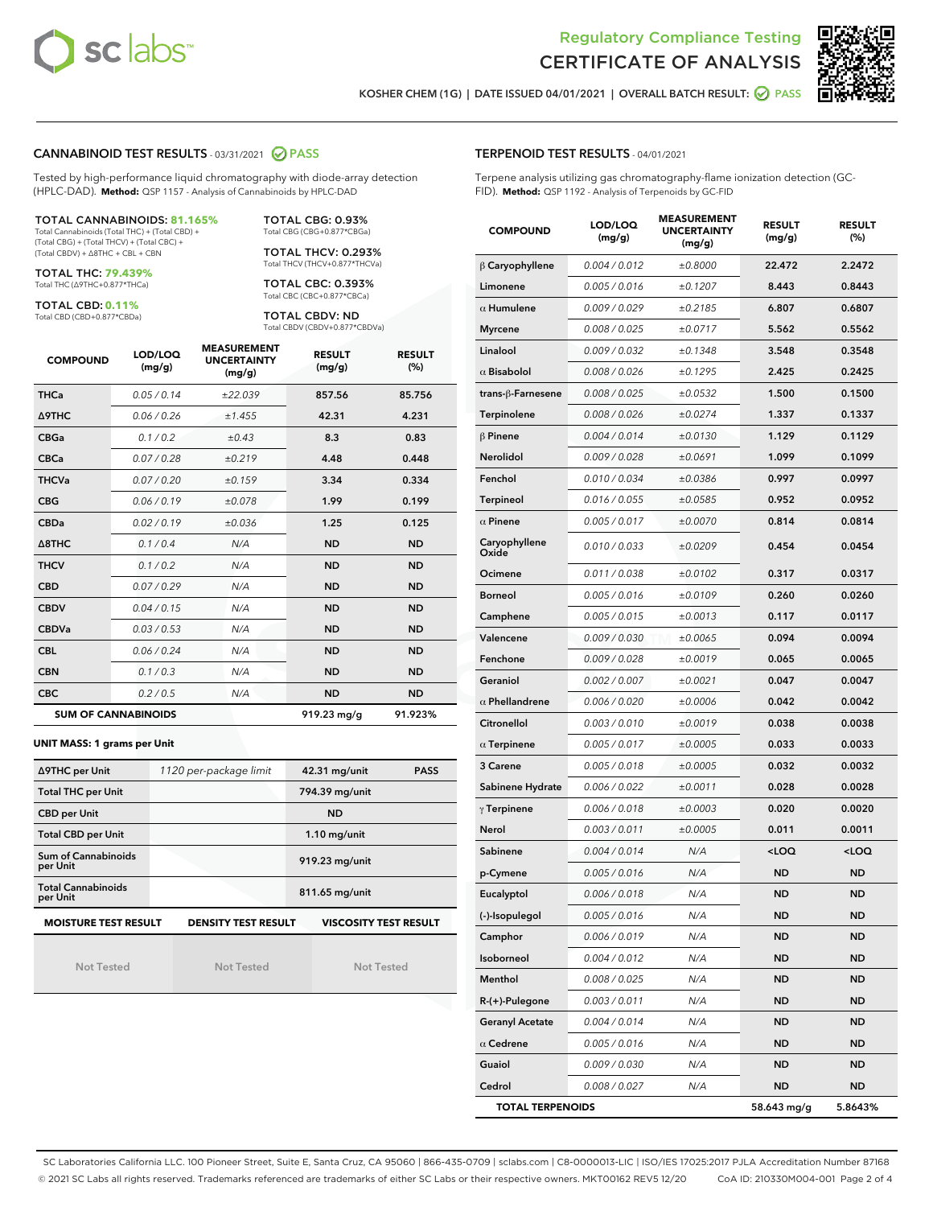



KOSHER CHEM (1G) | DATE ISSUED 04/01/2021 | OVERALL BATCH RESULT: @ PASS

## CANNABINOID TEST RESULTS - 03/31/2021 2 PASS

Tested by high-performance liquid chromatography with diode-array detection (HPLC-DAD). **Method:** QSP 1157 - Analysis of Cannabinoids by HPLC-DAD

TOTAL CANNABINOIDS: **81.165%** Total Cannabinoids (Total THC) + (Total CBD) +

(Total CBG) + (Total THCV) + (Total CBC) + (Total CBDV) + ∆8THC + CBL + CBN

TOTAL THC: **79.439%** Total THC (∆9THC+0.877\*THCa)

TOTAL CBD: **0.11%**

Total CBD (CBD+0.877\*CBDa)

TOTAL CBG: 0.93% Total CBG (CBG+0.877\*CBGa)

TOTAL THCV: 0.293% Total THCV (THCV+0.877\*THCVa)

TOTAL CBC: 0.393% Total CBC (CBC+0.877\*CBCa)

TOTAL CBDV: ND Total CBDV (CBDV+0.877\*CBDVa)

| <b>COMPOUND</b> | LOD/LOQ<br>(mg/g)          | <b>MEASUREMENT</b><br><b>UNCERTAINTY</b><br>(mg/g) | <b>RESULT</b><br>(mg/g) | <b>RESULT</b><br>(%) |
|-----------------|----------------------------|----------------------------------------------------|-------------------------|----------------------|
| <b>THCa</b>     | 0.05/0.14                  | ±22.039                                            | 857.56                  | 85.756               |
| <b>A9THC</b>    | 0.06 / 0.26                | ±1.455                                             | 42.31                   | 4.231                |
| <b>CBGa</b>     | 0.1 / 0.2                  | ±0.43                                              | 8.3                     | 0.83                 |
| <b>CBCa</b>     | 0.07 / 0.28                | ±0.219                                             | 4.48                    | 0.448                |
| <b>THCVa</b>    | 0.07/0.20                  | ±0.159                                             | 3.34                    | 0.334                |
| <b>CBG</b>      | 0.06/0.19                  | ±0.078                                             | 1.99                    | 0.199                |
| <b>CBDa</b>     | 0.02 / 0.19                | ±0.036                                             | 1.25                    | 0.125                |
| A8THC           | 0.1/0.4                    | N/A                                                | <b>ND</b>               | <b>ND</b>            |
| <b>THCV</b>     | 0.1 / 0.2                  | N/A                                                | <b>ND</b>               | <b>ND</b>            |
| <b>CBD</b>      | 0.07/0.29                  | N/A                                                | <b>ND</b>               | <b>ND</b>            |
| <b>CBDV</b>     | 0.04/0.15                  | N/A                                                | <b>ND</b>               | <b>ND</b>            |
| <b>CBDVa</b>    | 0.03/0.53                  | N/A                                                | <b>ND</b>               | <b>ND</b>            |
| <b>CBL</b>      | 0.06 / 0.24                | N/A                                                | <b>ND</b>               | <b>ND</b>            |
| <b>CBN</b>      | 0.1/0.3                    | N/A                                                | <b>ND</b>               | <b>ND</b>            |
| <b>CBC</b>      | 0.2 / 0.5                  | N/A                                                | <b>ND</b>               | <b>ND</b>            |
|                 | <b>SUM OF CANNABINOIDS</b> |                                                    | 919.23 mg/g             | 91.923%              |

#### **UNIT MASS: 1 grams per Unit**

| ∆9THC per Unit                        | 1120 per-package limit     | 42.31 mg/unit<br><b>PASS</b> |  |  |
|---------------------------------------|----------------------------|------------------------------|--|--|
| <b>Total THC per Unit</b>             |                            | 794.39 mg/unit               |  |  |
| <b>CBD</b> per Unit                   |                            | <b>ND</b>                    |  |  |
| <b>Total CBD per Unit</b>             |                            | $1.10$ mg/unit               |  |  |
| Sum of Cannabinoids<br>per Unit       |                            | 919.23 mg/unit               |  |  |
| <b>Total Cannabinoids</b><br>per Unit |                            | 811.65 mg/unit               |  |  |
| <b>MOISTURE TEST RESULT</b>           | <b>DENSITY TEST RESULT</b> | <b>VISCOSITY TEST RESULT</b> |  |  |

Not Tested

Not Tested

Not Tested

#### TERPENOID TEST RESULTS - 04/01/2021

Terpene analysis utilizing gas chromatography-flame ionization detection (GC-FID). **Method:** QSP 1192 - Analysis of Terpenoids by GC-FID

| <b>COMPOUND</b>         | LOD/LOQ<br>(mg/g) | <b>MEASUREMENT</b><br><b>UNCERTAINTY</b><br>(mg/g) | <b>RESULT</b><br>(mg/g)                         | <b>RESULT</b><br>$(\%)$ |
|-------------------------|-------------------|----------------------------------------------------|-------------------------------------------------|-------------------------|
| $\beta$ Caryophyllene   | 0.004 / 0.012     | ±0.8000                                            | 22.472                                          | 2.2472                  |
| Limonene                | 0.005 / 0.016     | ±0.1207                                            | 8.443                                           | 0.8443                  |
| $\alpha$ Humulene       | 0.009 / 0.029     | ±0.2185                                            | 6.807                                           | 0.6807                  |
| <b>Myrcene</b>          | 0.008 / 0.025     | ±0.0717                                            | 5.562                                           | 0.5562                  |
| Linalool                | 0.009 / 0.032     | ±0.1348                                            | 3.548                                           | 0.3548                  |
| $\alpha$ Bisabolol      | 0.008 / 0.026     | ±0.1295                                            | 2.425                                           | 0.2425                  |
| trans-ß-Farnesene       | 0.008 / 0.025     | ±0.0532                                            | 1.500                                           | 0.1500                  |
| <b>Terpinolene</b>      | 0.008 / 0.026     | ±0.0274                                            | 1.337                                           | 0.1337                  |
| $\beta$ Pinene          | 0.004 / 0.014     | ±0.0130                                            | 1.129                                           | 0.1129                  |
| Nerolidol               | 0.009 / 0.028     | ±0.0691                                            | 1.099                                           | 0.1099                  |
| Fenchol                 | 0.010 / 0.034     | ±0.0386                                            | 0.997                                           | 0.0997                  |
| Terpineol               | 0.016 / 0.055     | ±0.0585                                            | 0.952                                           | 0.0952                  |
| $\alpha$ Pinene         | 0.005 / 0.017     | ±0.0070                                            | 0.814                                           | 0.0814                  |
| Caryophyllene<br>Oxide  | 0.010 / 0.033     | ±0.0209                                            | 0.454                                           | 0.0454                  |
| Ocimene                 | 0.011 / 0.038     | ±0.0102                                            | 0.317                                           | 0.0317                  |
| <b>Borneol</b>          | 0.005 / 0.016     | ±0.0109                                            | 0.260                                           | 0.0260                  |
| Camphene                | 0.005 / 0.015     | ±0.0013                                            | 0.117                                           | 0.0117                  |
| Valencene               | 0.009 / 0.030     | ±0.0065                                            | 0.094                                           | 0.0094                  |
| Fenchone                | 0.009 / 0.028     | ±0.0019                                            | 0.065                                           | 0.0065                  |
| Geraniol                | 0.002 / 0.007     | ±0.0021                                            | 0.047                                           | 0.0047                  |
| $\alpha$ Phellandrene   | 0.006 / 0.020     | ±0.0006                                            | 0.042                                           | 0.0042                  |
| Citronellol             | 0.003 / 0.010     | ±0.0019                                            | 0.038                                           | 0.0038                  |
| $\alpha$ Terpinene      | 0.005 / 0.017     | ±0.0005                                            | 0.033                                           | 0.0033                  |
| 3 Carene                | 0.005 / 0.018     | ±0.0005                                            | 0.032                                           | 0.0032                  |
| Sabinene Hydrate        | 0.006 / 0.022     | ±0.0011                                            | 0.028                                           | 0.0028                  |
| $\gamma$ Terpinene      | 0.006 / 0.018     | ±0.0003                                            | 0.020                                           | 0.0020                  |
| Nerol                   | 0.003 / 0.011     | ±0.0005                                            | 0.011                                           | 0.0011                  |
| Sabinene                | 0.004 / 0.014     | N/A                                                | <loq< th=""><th><loq< th=""></loq<></th></loq<> | <loq< th=""></loq<>     |
| p-Cymene                | 0.005 / 0.016     | N/A                                                | ND                                              | <b>ND</b>               |
| Eucalyptol              | 0.006 / 0.018     | N/A                                                | <b>ND</b>                                       | ND                      |
| (-)-Isopulegol          | 0.005 / 0.016     | N/A                                                | ND                                              | ND                      |
| Camphor                 | 0.006 / 0.019     | N/A                                                | ND                                              | ND                      |
| Isoborneol              | 0.004 / 0.012     | N/A                                                | ND                                              | <b>ND</b>               |
| Menthol                 | 0.008 / 0.025     | N/A                                                | ND                                              | ND                      |
| R-(+)-Pulegone          | 0.003 / 0.011     | N/A                                                | ND                                              | ND                      |
| <b>Geranyl Acetate</b>  | 0.004 / 0.014     | N/A                                                | ND                                              | ND                      |
| $\alpha$ Cedrene        | 0.005 / 0.016     | N/A                                                | ND                                              | ND                      |
| Guaiol                  | 0.009 / 0.030     | N/A                                                | ND                                              | ND                      |
| Cedrol                  | 0.008 / 0.027     | N/A                                                | <b>ND</b>                                       | <b>ND</b>               |
| <b>TOTAL TERPENOIDS</b> |                   |                                                    | 58.643 mg/g                                     | 5.8643%                 |

SC Laboratories California LLC. 100 Pioneer Street, Suite E, Santa Cruz, CA 95060 | 866-435-0709 | sclabs.com | C8-0000013-LIC | ISO/IES 17025:2017 PJLA Accreditation Number 87168 © 2021 SC Labs all rights reserved. Trademarks referenced are trademarks of either SC Labs or their respective owners. MKT00162 REV5 12/20 CoA ID: 210330M004-001 Page 2 of 4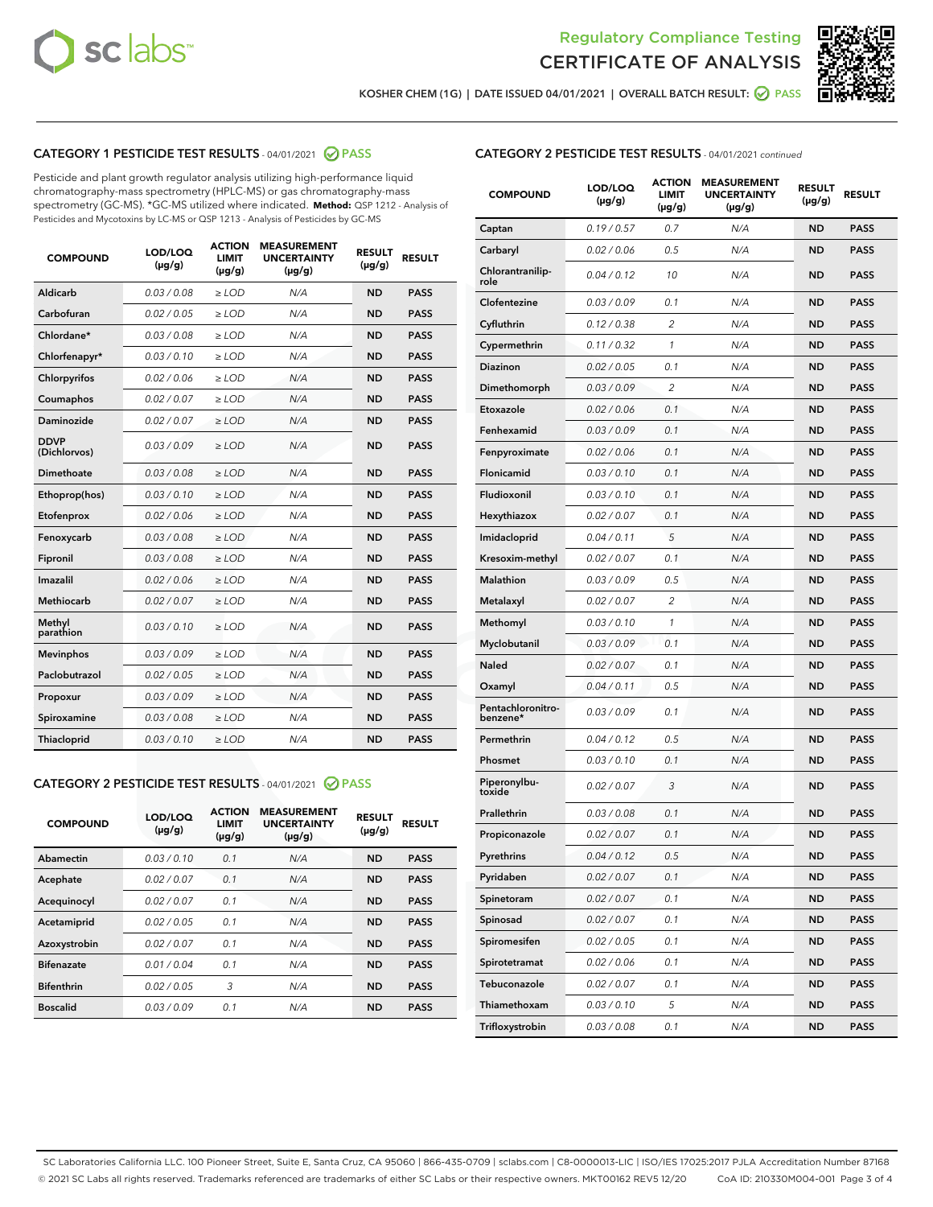



KOSHER CHEM (1G) | DATE ISSUED 04/01/2021 | OVERALL BATCH RESULT:  $\bigcirc$  PASS

## CATEGORY 1 PESTICIDE TEST RESULTS - 04/01/2021 2 PASS

Pesticide and plant growth regulator analysis utilizing high-performance liquid chromatography-mass spectrometry (HPLC-MS) or gas chromatography-mass spectrometry (GC-MS). \*GC-MS utilized where indicated. **Method:** QSP 1212 - Analysis of Pesticides and Mycotoxins by LC-MS or QSP 1213 - Analysis of Pesticides by GC-MS

| <b>COMPOUND</b>             | LOD/LOQ<br>$(\mu g/g)$ | <b>ACTION</b><br><b>LIMIT</b><br>$(\mu g/g)$ | <b>MEASUREMENT</b><br><b>UNCERTAINTY</b><br>$(\mu g/g)$ | <b>RESULT</b><br>$(\mu g/g)$ | <b>RESULT</b> |
|-----------------------------|------------------------|----------------------------------------------|---------------------------------------------------------|------------------------------|---------------|
| Aldicarb                    | 0.03 / 0.08            | $\ge$ LOD                                    | N/A                                                     | <b>ND</b>                    | <b>PASS</b>   |
| Carbofuran                  | 0.02 / 0.05            | $\geq$ LOD                                   | N/A                                                     | <b>ND</b>                    | <b>PASS</b>   |
| Chlordane*                  | 0.03/0.08              | $\geq$ LOD                                   | N/A                                                     | <b>ND</b>                    | <b>PASS</b>   |
| Chlorfenapyr*               | 0.03/0.10              | $\geq$ LOD                                   | N/A                                                     | <b>ND</b>                    | <b>PASS</b>   |
| Chlorpyrifos                | 0.02 / 0.06            | $\geq$ LOD                                   | N/A                                                     | <b>ND</b>                    | <b>PASS</b>   |
| Coumaphos                   | 0.02 / 0.07            | $\ge$ LOD                                    | N/A                                                     | <b>ND</b>                    | <b>PASS</b>   |
| Daminozide                  | 0.02/0.07              | $>$ LOD                                      | N/A                                                     | <b>ND</b>                    | <b>PASS</b>   |
| <b>DDVP</b><br>(Dichlorvos) | 0.03/0.09              | $>$ LOD                                      | N/A                                                     | <b>ND</b>                    | <b>PASS</b>   |
| Dimethoate                  | 0.03/0.08              | $\ge$ LOD                                    | N/A                                                     | <b>ND</b>                    | <b>PASS</b>   |
| Ethoprop(hos)               | 0.03/0.10              | $>$ LOD                                      | N/A                                                     | <b>ND</b>                    | <b>PASS</b>   |
| Etofenprox                  | 0.02 / 0.06            | $\ge$ LOD                                    | N/A                                                     | <b>ND</b>                    | <b>PASS</b>   |
| Fenoxycarb                  | 0.03/0.08              | $\ge$ LOD                                    | N/A                                                     | <b>ND</b>                    | <b>PASS</b>   |
| Fipronil                    | 0.03/0.08              | $>$ LOD                                      | N/A                                                     | <b>ND</b>                    | <b>PASS</b>   |
| Imazalil                    | 0.02 / 0.06            | $\ge$ LOD                                    | N/A                                                     | <b>ND</b>                    | <b>PASS</b>   |
| Methiocarb                  | 0.02 / 0.07            | $\ge$ LOD                                    | N/A                                                     | <b>ND</b>                    | <b>PASS</b>   |
| Methyl<br>parathion         | 0.03/0.10              | $\ge$ LOD                                    | N/A                                                     | <b>ND</b>                    | <b>PASS</b>   |
| <b>Mevinphos</b>            | 0.03/0.09              | $\ge$ LOD                                    | N/A                                                     | <b>ND</b>                    | <b>PASS</b>   |
| Paclobutrazol               | 0.02 / 0.05            | $\ge$ LOD                                    | N/A                                                     | <b>ND</b>                    | <b>PASS</b>   |
| Propoxur                    | 0.03/0.09              | $\ge$ LOD                                    | N/A                                                     | <b>ND</b>                    | <b>PASS</b>   |
| Spiroxamine                 | 0.03 / 0.08            | $\ge$ LOD                                    | N/A                                                     | <b>ND</b>                    | <b>PASS</b>   |
| Thiacloprid                 | 0.03/0.10              | $\ge$ LOD                                    | N/A                                                     | <b>ND</b>                    | <b>PASS</b>   |

#### CATEGORY 2 PESTICIDE TEST RESULTS - 04/01/2021 @ PASS

| <b>COMPOUND</b>   | LOD/LOQ<br>$(\mu g/g)$ | <b>ACTION</b><br><b>LIMIT</b><br>$(\mu g/g)$ | <b>MEASUREMENT</b><br><b>UNCERTAINTY</b><br>$(\mu g/g)$ | <b>RESULT</b><br>$(\mu g/g)$ | <b>RESULT</b> |
|-------------------|------------------------|----------------------------------------------|---------------------------------------------------------|------------------------------|---------------|
| Abamectin         | 0.03/0.10              | 0.1                                          | N/A                                                     | <b>ND</b>                    | <b>PASS</b>   |
| Acephate          | 0.02/0.07              | 0.1                                          | N/A                                                     | <b>ND</b>                    | <b>PASS</b>   |
| Acequinocyl       | 0.02/0.07              | 0.1                                          | N/A                                                     | <b>ND</b>                    | <b>PASS</b>   |
| Acetamiprid       | 0.02/0.05              | 0.1                                          | N/A                                                     | <b>ND</b>                    | <b>PASS</b>   |
| Azoxystrobin      | 0.02/0.07              | 0.1                                          | N/A                                                     | <b>ND</b>                    | <b>PASS</b>   |
| <b>Bifenazate</b> | 0.01/0.04              | 0.1                                          | N/A                                                     | <b>ND</b>                    | <b>PASS</b>   |
| <b>Bifenthrin</b> | 0.02/0.05              | 3                                            | N/A                                                     | <b>ND</b>                    | <b>PASS</b>   |
| <b>Boscalid</b>   | 0.03/0.09              | 0.1                                          | N/A                                                     | <b>ND</b>                    | <b>PASS</b>   |

|  | <b>CATEGORY 2 PESTICIDE TEST RESULTS</b> - 04/01/2021 continued |  |
|--|-----------------------------------------------------------------|--|
|--|-----------------------------------------------------------------|--|

| <b>COMPOUND</b>               | LOD/LOQ<br>(µg/g) | <b>ACTION</b><br>LIMIT<br>(µg/g) | <b>MEASUREMENT</b><br><b>UNCERTAINTY</b><br>(µg/g) | <b>RESULT</b><br>(µg/g) | <b>RESULT</b> |
|-------------------------------|-------------------|----------------------------------|----------------------------------------------------|-------------------------|---------------|
| Captan                        | 0.19 / 0.57       | 0.7                              | N/A                                                | <b>ND</b>               | <b>PASS</b>   |
| Carbaryl                      | 0.02 / 0.06       | 0.5                              | N/A                                                | <b>ND</b>               | <b>PASS</b>   |
| Chlorantranilip-<br>role      | 0.04 / 0.12       | 10                               | N/A                                                | ND                      | <b>PASS</b>   |
| Clofentezine                  | 0.03 / 0.09       | 0.1                              | N/A                                                | ND                      | <b>PASS</b>   |
| Cyfluthrin                    | 0.12 / 0.38       | $\overline{c}$                   | N/A                                                | ND                      | <b>PASS</b>   |
| Cypermethrin                  | 0.11 / 0.32       | 1                                | N/A                                                | ND                      | <b>PASS</b>   |
| Diazinon                      | 0.02 / 0.05       | 0.1                              | N/A                                                | ND                      | <b>PASS</b>   |
| Dimethomorph                  | 0.03 / 0.09       | 2                                | N/A                                                | ND                      | PASS          |
| Etoxazole                     | 0.02 / 0.06       | 0.1                              | N/A                                                | ND                      | <b>PASS</b>   |
| Fenhexamid                    | 0.03 / 0.09       | 0.1                              | N/A                                                | ND                      | <b>PASS</b>   |
| Fenpyroximate                 | 0.02 / 0.06       | 0.1                              | N/A                                                | ND                      | PASS          |
| Flonicamid                    | 0.03 / 0.10       | 0.1                              | N/A                                                | ND                      | <b>PASS</b>   |
| Fludioxonil                   | 0.03/0.10         | 0.1                              | N/A                                                | ND                      | <b>PASS</b>   |
| Hexythiazox                   | 0.02 / 0.07       | 0.1                              | N/A                                                | ND                      | PASS          |
| Imidacloprid                  | 0.04 / 0.11       | 5                                | N/A                                                | ND                      | <b>PASS</b>   |
| Kresoxim-methyl               | 0.02 / 0.07       | 0.1                              | N/A                                                | ND                      | <b>PASS</b>   |
| <b>Malathion</b>              | 0.03 / 0.09       | 0.5                              | N/A                                                | ND                      | PASS          |
| Metalaxyl                     | 0.02 / 0.07       | 2                                | N/A                                                | ND                      | <b>PASS</b>   |
| Methomyl                      | 0.03 / 0.10       | 1                                | N/A                                                | ND                      | <b>PASS</b>   |
| Myclobutanil                  | 0.03 / 0.09       | 0.1                              | N/A                                                | ND                      | PASS          |
| Naled                         | 0.02 / 0.07       | 0.1                              | N/A                                                | ND                      | <b>PASS</b>   |
| Oxamyl                        | 0.04 / 0.11       | 0.5                              | N/A                                                | ND                      | PASS          |
| Pentachloronitro-<br>benzene* | 0.03 / 0.09       | 0.1                              | N/A                                                | ND                      | PASS          |
| Permethrin                    | 0.04 / 0.12       | 0.5                              | N/A                                                | ND                      | PASS          |
| Phosmet                       | 0.03 / 0.10       | 0.1                              | N/A                                                | ND                      | PASS          |
| Piperonylbu-<br>toxide        | 0.02 / 0.07       | 3                                | N/A                                                | ND                      | PASS          |
| Prallethrin                   | 0.03 / 0.08       | 0.1                              | N/A                                                | ND                      | <b>PASS</b>   |
| Propiconazole                 | 0.02 / 0.07       | 0.1                              | N/A                                                | ND                      | <b>PASS</b>   |
| Pyrethrins                    | 0.04 / 0.12       | 0.5                              | N/A                                                | ND,                     | PASS          |
| Pyridaben                     | 0.02 / 0.07       | 0.1                              | N/A                                                | ND                      | PASS          |
| Spinetoram                    | 0.02 / 0.07       | 0.1                              | N/A                                                | ND                      | <b>PASS</b>   |
| Spinosad                      | 0.02 / 0.07       | 0.1                              | N/A                                                | ND                      | <b>PASS</b>   |
| Spiromesifen                  | 0.02 / 0.05       | 0.1                              | N/A                                                | ND                      | <b>PASS</b>   |
| Spirotetramat                 | 0.02 / 0.06       | 0.1                              | N/A                                                | ND                      | <b>PASS</b>   |
| Tebuconazole                  | 0.02 / 0.07       | 0.1                              | N/A                                                | ND                      | <b>PASS</b>   |
| Thiamethoxam                  | 0.03 / 0.10       | 5                                | N/A                                                | ND                      | <b>PASS</b>   |
| Trifloxystrobin               | 0.03 / 0.08       | 0.1                              | N/A                                                | ND                      | <b>PASS</b>   |